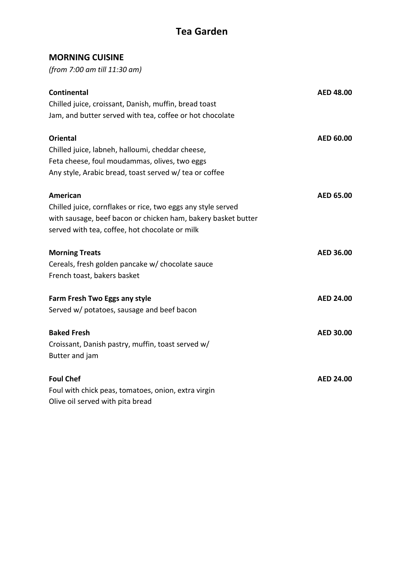## **MORNING CUISINE**

*(from 7:00 am till 11:30 am)*

| <b>Continental</b>                                            | <b>AED 48.00</b> |
|---------------------------------------------------------------|------------------|
| Chilled juice, croissant, Danish, muffin, bread toast         |                  |
| Jam, and butter served with tea, coffee or hot chocolate      |                  |
| <b>Oriental</b>                                               | AED 60.00        |
| Chilled juice, labneh, halloumi, cheddar cheese,              |                  |
| Feta cheese, foul moudammas, olives, two eggs                 |                  |
| Any style, Arabic bread, toast served w/ tea or coffee        |                  |
| <b>American</b>                                               | AED 65.00        |
| Chilled juice, cornflakes or rice, two eggs any style served  |                  |
| with sausage, beef bacon or chicken ham, bakery basket butter |                  |
| served with tea, coffee, hot chocolate or milk                |                  |
| <b>Morning Treats</b>                                         | <b>AED 36.00</b> |
| Cereals, fresh golden pancake w/ chocolate sauce              |                  |
| French toast, bakers basket                                   |                  |
| Farm Fresh Two Eggs any style                                 | <b>AED 24.00</b> |
| Served w/ potatoes, sausage and beef bacon                    |                  |
| <b>Baked Fresh</b>                                            | <b>AED 30.00</b> |
| Croissant, Danish pastry, muffin, toast served w/             |                  |
| Butter and jam                                                |                  |
| <b>Foul Chef</b>                                              | <b>AED 24.00</b> |
| Foul with chick peas, tomatoes, onion, extra virgin           |                  |
| Olive oil served with pita bread                              |                  |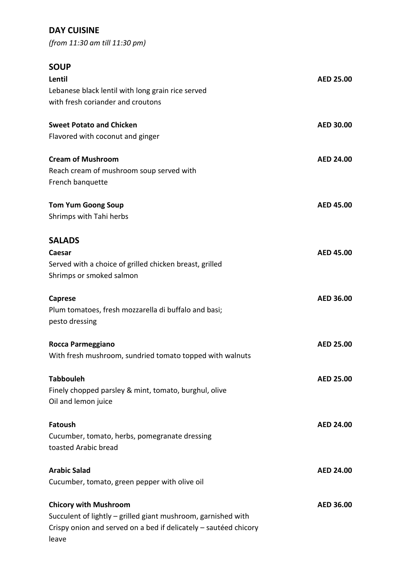# **DAY CUISINE**

*(from 11:30 am till 11:30 pm)*

# **SOUP**

| Lentil                                                           | <b>AED 25.00</b> |
|------------------------------------------------------------------|------------------|
| Lebanese black lentil with long grain rice served                |                  |
| with fresh coriander and croutons                                |                  |
| <b>Sweet Potato and Chicken</b>                                  | <b>AED 30.00</b> |
| Flavored with coconut and ginger                                 |                  |
| <b>Cream of Mushroom</b>                                         | <b>AED 24.00</b> |
| Reach cream of mushroom soup served with                         |                  |
| French banquette                                                 |                  |
| <b>Tom Yum Goong Soup</b>                                        | <b>AED 45.00</b> |
| Shrimps with Tahi herbs                                          |                  |
| <b>SALADS</b>                                                    |                  |
| Caesar                                                           | <b>AED 45.00</b> |
| Served with a choice of grilled chicken breast, grilled          |                  |
| Shrimps or smoked salmon                                         |                  |
| <b>Caprese</b>                                                   | <b>AED 36.00</b> |
| Plum tomatoes, fresh mozzarella di buffalo and basi;             |                  |
| pesto dressing                                                   |                  |
| Rocca Parmeggiano                                                | <b>AED 25.00</b> |
| With fresh mushroom, sundried tomato topped with walnuts         |                  |
| <b>Tabbouleh</b>                                                 | <b>AED 25.00</b> |
| Finely chopped parsley & mint, tomato, burghul, olive            |                  |
| Oil and lemon juice                                              |                  |
| <b>Fatoush</b>                                                   | <b>AED 24.00</b> |
| Cucumber, tomato, herbs, pomegranate dressing                    |                  |
| toasted Arabic bread                                             |                  |
| <b>Arabic Salad</b>                                              | <b>AED 24.00</b> |
| Cucumber, tomato, green pepper with olive oil                    |                  |
| <b>Chicory with Mushroom</b>                                     | AED 36.00        |
| Succulent of lightly - grilled giant mushroom, garnished with    |                  |
| Crispy onion and served on a bed if delicately - sautéed chicory |                  |
| leave                                                            |                  |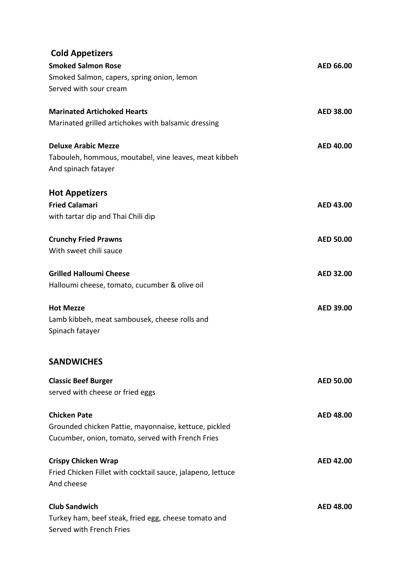| <b>Cold Appetizers</b>                                      |                  |
|-------------------------------------------------------------|------------------|
| <b>Smoked Salmon Rose</b>                                   | AED 66.00        |
| Smoked Salmon, capers, spring onion, lemon                  |                  |
| Served with sour cream                                      |                  |
| <b>Marinated Artichoked Hearts</b>                          | <b>AED 38.00</b> |
| Marinated grilled artichokes with balsamic dressing         |                  |
| <b>Deluxe Arabic Mezze</b>                                  | <b>AED 40.00</b> |
| Tabouleh, hommous, moutabel, vine leaves, meat kibbeh       |                  |
| And spinach fatayer                                         |                  |
| <b>Hot Appetizers</b>                                       |                  |
| <b>Fried Calamari</b>                                       | <b>AED 43.00</b> |
| with tartar dip and Thai Chili dip                          |                  |
| <b>Crunchy Fried Prawns</b>                                 | <b>AED 50.00</b> |
| With sweet chili sauce                                      |                  |
| <b>Grilled Halloumi Cheese</b>                              | <b>AED 32.00</b> |
| Halloumi cheese, tomato, cucumber & olive oil               |                  |
| <b>Hot Mezze</b>                                            | <b>AED 39.00</b> |
| Lamb kibbeh, meat sambousek, cheese rolls and               |                  |
| Spinach fatayer                                             |                  |
| <b>SANDWICHES</b>                                           |                  |
| <b>Classic Beef Burger</b>                                  | <b>AED 50.00</b> |
| served with cheese or fried eggs                            |                  |
| <b>Chicken Pate</b>                                         | <b>AED 48.00</b> |
| Grounded chicken Pattie, mayonnaise, kettuce, pickled       |                  |
| Cucumber, onion, tomato, served with French Fries           |                  |
| <b>Crispy Chicken Wrap</b>                                  | <b>AED 42.00</b> |
| Fried Chicken Fillet with cocktail sauce, jalapeno, lettuce |                  |
| And cheese                                                  |                  |
| <b>Club Sandwich</b>                                        | <b>AED 48.00</b> |
| Turkey ham, beef steak, fried egg, cheese tomato and        |                  |
| Served with French Fries                                    |                  |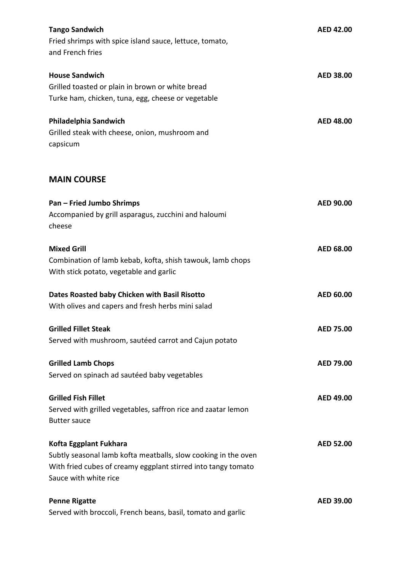| <b>Tango Sandwich</b><br>Fried shrimps with spice island sauce, lettuce, tomato,<br>and French fries                                                                               | <b>AED 42.00</b> |
|------------------------------------------------------------------------------------------------------------------------------------------------------------------------------------|------------------|
| <b>House Sandwich</b><br>Grilled toasted or plain in brown or white bread<br>Turke ham, chicken, tuna, egg, cheese or vegetable                                                    | <b>AED 38.00</b> |
| Philadelphia Sandwich<br>Grilled steak with cheese, onion, mushroom and<br>capsicum                                                                                                | <b>AED 48.00</b> |
| <b>MAIN COURSE</b>                                                                                                                                                                 |                  |
| <b>Pan - Fried Jumbo Shrimps</b><br>Accompanied by grill asparagus, zucchini and haloumi<br>cheese                                                                                 | AED 90.00        |
| <b>Mixed Grill</b><br>Combination of lamb kebab, kofta, shish tawouk, lamb chops<br>With stick potato, vegetable and garlic                                                        | <b>AED 68.00</b> |
| Dates Roasted baby Chicken with Basil Risotto<br>With olives and capers and fresh herbs mini salad                                                                                 | <b>AED 60.00</b> |
| <b>Grilled Fillet Steak</b><br>Served with mushroom, sautéed carrot and Cajun potato                                                                                               | <b>AED 75.00</b> |
| <b>Grilled Lamb Chops</b><br>Served on spinach ad sautéed baby vegetables                                                                                                          | AED 79.00        |
| <b>Grilled Fish Fillet</b><br>Served with grilled vegetables, saffron rice and zaatar lemon<br><b>Butter sauce</b>                                                                 | <b>AED 49.00</b> |
| Kofta Eggplant Fukhara<br>Subtly seasonal lamb kofta meatballs, slow cooking in the oven<br>With fried cubes of creamy eggplant stirred into tangy tomato<br>Sauce with white rice | <b>AED 52.00</b> |
| <b>Penne Rigatte</b><br>Served with broccoli, French beans, basil, tomato and garlic                                                                                               | AED 39.00        |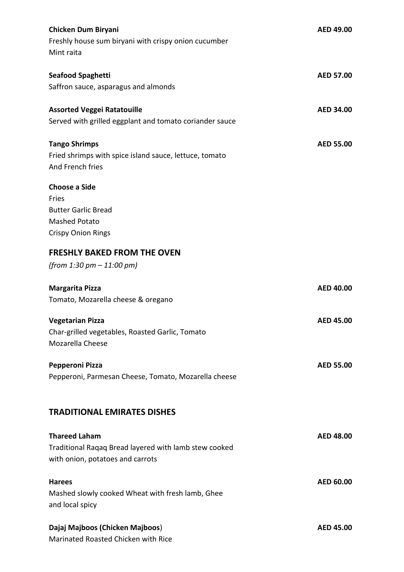| <b>Chicken Dum Biryani</b><br>Freshly house sum biryani with crispy onion cucumber<br>Mint raita | AED 49.00        |
|--------------------------------------------------------------------------------------------------|------------------|
| <b>Seafood Spaghetti</b>                                                                         | <b>AED 57.00</b> |
| Saffron sauce, asparagus and almonds                                                             |                  |
| <b>Assorted Veggei Ratatouille</b>                                                               | <b>AED 34.00</b> |
| Served with grilled eggplant and tomato coriander sauce                                          |                  |
| <b>Tango Shrimps</b>                                                                             | <b>AED 55.00</b> |
| Fried shrimps with spice island sauce, lettuce, tomato<br>And French fries                       |                  |
| <b>Choose a Side</b>                                                                             |                  |
| Fries                                                                                            |                  |
| <b>Butter Garlic Bread</b>                                                                       |                  |
| <b>Mashed Potato</b>                                                                             |                  |
| <b>Crispy Onion Rings</b>                                                                        |                  |
| <b>FRESHLY BAKED FROM THE OVEN</b>                                                               |                  |
| (from 1:30 pm $-$ 11:00 pm)                                                                      |                  |
|                                                                                                  |                  |
| <b>Margarita Pizza</b>                                                                           | AED 40.00        |
| Tomato, Mozarella cheese & oregano                                                               |                  |
| <b>Vegetarian Pizza</b>                                                                          | <b>AED 45.00</b> |
| Char-grilled vegetables, Roasted Garlic, Tomato                                                  |                  |
| Mozarella Cheese                                                                                 |                  |
| Pepperoni Pizza                                                                                  | <b>AED 55.00</b> |
| Pepperoni, Parmesan Cheese, Tomato, Mozarella cheese                                             |                  |
| <b>TRADITIONAL EMIRATES DISHES</b>                                                               |                  |
|                                                                                                  |                  |
| <b>Thareed Laham</b>                                                                             | <b>AED 48.00</b> |
| Traditional Raqaq Bread layered with lamb stew cooked                                            |                  |
| with onion, potatoes and carrots                                                                 |                  |
| <b>Harees</b>                                                                                    | <b>AED 60.00</b> |
| Mashed slowly cooked Wheat with fresh lamb, Ghee                                                 |                  |
| and local spicy                                                                                  |                  |
| Dajaj Majboos (Chicken Majboos)                                                                  | <b>AED 45.00</b> |
| Marinated Roasted Chicken with Rice                                                              |                  |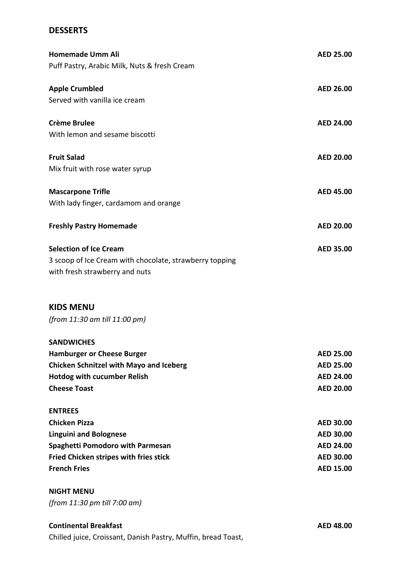### **DESSERTS**

| <b>Homemade Umm Ali</b>                                 | <b>AED 25.00</b> |
|---------------------------------------------------------|------------------|
| Puff Pastry, Arabic Milk, Nuts & fresh Cream            |                  |
| <b>Apple Crumbled</b>                                   | <b>AED 26.00</b> |
| Served with vanilla ice cream                           |                  |
| <b>Crème Brulee</b>                                     | <b>AED 24.00</b> |
| With lemon and sesame biscotti                          |                  |
| <b>Fruit Salad</b>                                      | <b>AED 20.00</b> |
| Mix fruit with rose water syrup                         |                  |
| <b>Mascarpone Trifle</b>                                | <b>AED 45.00</b> |
| With lady finger, cardamom and orange                   |                  |
| <b>Freshly Pastry Homemade</b>                          | <b>AED 20.00</b> |
| <b>Selection of Ice Cream</b>                           | <b>AED 35.00</b> |
| 3 scoop of Ice Cream with chocolate, strawberry topping |                  |
| with fresh strawberry and nuts                          |                  |
| <b>KIDS MENU</b>                                        |                  |
| (from 11:30 am till 11:00 pm)                           |                  |
| <b>SANDWICHES</b>                                       |                  |
| <b>Hamburger or Cheese Burger</b>                       | <b>AED 25.00</b> |
| <b>Chicken Schnitzel with Mayo and Iceberg</b>          | <b>AED 25.00</b> |
| <b>Hotdog with cucumber Relish</b>                      | <b>AED 24.00</b> |
| <b>Cheese Toast</b>                                     | <b>AED 20.00</b> |
| <b>ENTREES</b>                                          |                  |
| <b>Chicken Pizza</b>                                    | <b>AED 30.00</b> |
| <b>Linguini and Bolognese</b>                           | <b>AED 30.00</b> |
| <b>Spaghetti Pomodoro with Parmesan</b>                 | <b>AED 24.00</b> |
| Fried Chicken stripes with fries stick                  | <b>AED 30.00</b> |
| <b>French Fries</b>                                     | <b>AED 15.00</b> |
| <b>NIGHT MENU</b>                                       |                  |
| (from 11:30 pm till 7:00 am)                            |                  |

#### **Continental Breakfast AED 48.00**

Chilled juice, Croissant, Danish Pastry, Muffin, bread Toast,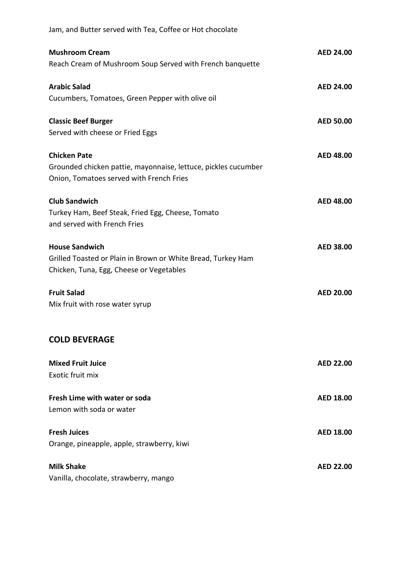| Jam, and Butter served with Tea, Coffee or Hot chocolate                                                                          |                  |
|-----------------------------------------------------------------------------------------------------------------------------------|------------------|
| <b>Mushroom Cream</b><br>Reach Cream of Mushroom Soup Served with French banquette                                                | <b>AED 24.00</b> |
| <b>Arabic Salad</b><br>Cucumbers, Tomatoes, Green Pepper with olive oil                                                           | <b>AED 24.00</b> |
| <b>Classic Beef Burger</b><br>Served with cheese or Fried Eggs                                                                    | <b>AED 50.00</b> |
| <b>Chicken Pate</b><br>Grounded chicken pattie, mayonnaise, lettuce, pickles cucumber<br>Onion, Tomatoes served with French Fries | <b>AED 48.00</b> |
| <b>Club Sandwich</b><br>Turkey Ham, Beef Steak, Fried Egg, Cheese, Tomato<br>and served with French Fries                         | <b>AED 48.00</b> |
| <b>House Sandwich</b><br>Grilled Toasted or Plain in Brown or White Bread, Turkey Ham<br>Chicken, Tuna, Egg, Cheese or Vegetables | <b>AED 38.00</b> |
| <b>Fruit Salad</b><br>Mix fruit with rose water syrup                                                                             | <b>AED 20.00</b> |
| <b>COLD BEVERAGE</b>                                                                                                              |                  |
| <b>Mixed Fruit Juice</b><br>Exotic fruit mix                                                                                      | <b>AED 22.00</b> |
| Fresh Lime with water or soda<br>Lemon with soda or water                                                                         | <b>AED 18.00</b> |
| <b>Fresh Juices</b><br>Orange, pineapple, apple, strawberry, kiwi                                                                 | <b>AED 18.00</b> |
| <b>Milk Shake</b><br>Vanilla, chocolate, strawberry, mango                                                                        | <b>AED 22.00</b> |